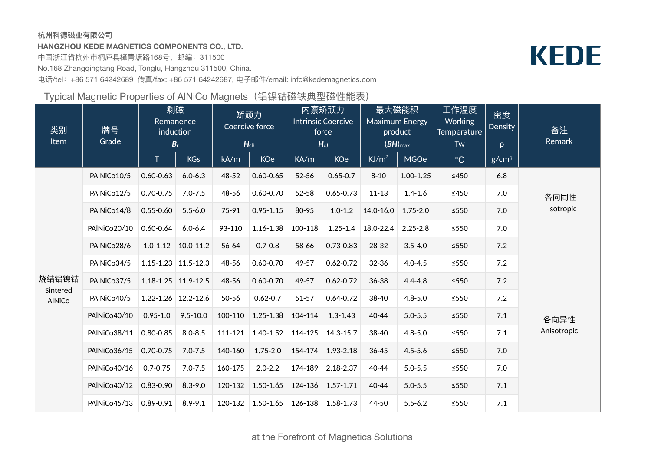# **杭州科德磁业有限公司 HANGZHOU KEDE MAGNETICS COMPONENTS CO., LTD.** 中国浙江省杭州市桐庐县樟青塘路168号,邮编: 311500

No.168 Zhangqingtang Road, Tonglu, Hangzhou 311500, China.

电话/tel: +86 571 64242689 传真/fax: +86 571 64242687, 电子邮件/email: [info@kedemagnetics.com](mailto:info@kedemagnetics.com?subject=Hello)

# Typical Magnetic Properties of AINiCo Magnets (铝镍钴磁铁典型磁性能表)



### 各向同性 Isotropic

#### 各向异性 Anisotropic

| 类别<br>Item                         | 牌号<br>Grade                                                        | 剩磁<br>Remanence<br>induction<br>$B_r$ |                           | 矫顽力<br>Coercive force<br>$H_{\rm cB}$ |                                            | 内禀矫顽力<br><b>Intrinsic Coercive</b><br>force<br>$H_{cJ}$ |                   | 最大磁能积<br><b>Maximum Energy</b><br>product<br>$(BH)_{\text{max}}$ |              | 工作温度<br><b>Working</b><br><b>Temperature</b><br>Tw | 密度<br>Density     | 备注<br>Remark |
|------------------------------------|--------------------------------------------------------------------|---------------------------------------|---------------------------|---------------------------------------|--------------------------------------------|---------------------------------------------------------|-------------------|------------------------------------------------------------------|--------------|----------------------------------------------------|-------------------|--------------|
|                                    |                                                                    |                                       |                           |                                       |                                            |                                                         |                   |                                                                  |              |                                                    | $\rho$            |              |
|                                    |                                                                    | T.                                    | <b>KGs</b>                | kA/m                                  | <b>KOe</b>                                 | KA/m                                                    | <b>KOe</b>        | $\overline{K}$ J/m <sup>3</sup>                                  | <b>MGOe</b>  | $\rm ^{\circ}C$                                    | g/cm <sup>3</sup> |              |
| 烧结铝镍钴<br>Sintered<br><b>AlNiCo</b> | PAINICo10/5                                                        | $0.60 - 0.63$                         | $6.0 - 6.3$               | 48-52                                 | $0.60 - 0.65$                              | 52-56                                                   | $0.65 - 0.7$      | $8 - 10$                                                         | 1.00-1.25    | ≤450                                               | 6.8               |              |
|                                    | PAINICo12/5                                                        | $0.70 - 0.75$                         | $7.0 - 7.5$               | 48-56                                 | $0.60 - 0.70$                              | 52-58                                                   | $0.65 - 0.73$     | $11 - 13$                                                        | $1.4 - 1.6$  | ≤450                                               | 7.0               | 各向同          |
|                                    | PAINICo14/8                                                        | $0.55 - 0.60$                         | $5.5 - 6.0$               | 75-91                                 | $0.95 - 1.15$                              | 80-95                                                   | $1.0 - 1.2$       | 14.0-16.0                                                        | $1.75 - 2.0$ | $≤550$                                             | 7.0               | Isotropi     |
|                                    | PAINICo20/10                                                       | $0.60 - 0.64$                         | $6.0 - 6.4$               | 93-110                                | $1.16 - 1.38$                              | 100-118                                                 | $1.25 - 1.4$      | $18.0 - 22.4$                                                    | $2.25 - 2.8$ | $≤550$                                             | 7.0               |              |
|                                    | PAINICo28/6                                                        | $1.0 - 1.12$                          | 10.0-11.2                 | 56-64                                 | $0.7 - 0.8$                                | 58-66                                                   | 0.73-0.83         | 28-32                                                            | $3.5 - 4.0$  | $\leq$ 550                                         | 7.2               |              |
|                                    | PAINICo34/5                                                        |                                       | $1.15 - 1.23$ 11.5 - 12.3 | 48-56                                 | $0.60 - 0.70$                              | 49-57                                                   | $0.62 - 0.72$     | $32 - 36$                                                        | $4.0 - 4.5$  | $\leq$ 550                                         | 7.2               |              |
|                                    | PAINICo37/5                                                        |                                       | $1.18 - 1.25$ 1.9-12.5    | 48-56                                 | $0.60 - 0.70$                              | 49-57                                                   | $0.62 - 0.72$     | $36 - 38$                                                        | $4.4 - 4.8$  | $≤550$                                             | 7.2               |              |
|                                    | PAINICo40/5                                                        | $1.22 - 1.26$ 12.2-12.6               |                           | $50 - 56$                             | $0.62 - 0.7$                               | $51 - 57$                                               | $0.64 - 0.72$     | 38-40                                                            | $4.8 - 5.0$  | $\leq$ 550                                         | 7.2               |              |
|                                    | PAINICo40/10                                                       | $0.95 - 1.0$                          | $9.5 - 10.0$              | 100-110                               | $1.25 - 1.38$                              | 104-114                                                 | $1.3 - 1.43$      | 40-44                                                            | $5.0 - 5.5$  | $\leq$ 550                                         | 7.1               | 各向异性         |
|                                    | PAINICo38/11                                                       | $0.80 - 0.85$                         | $8.0 - 8.5$               | 111-121                               | $1.40 - 1.52$                              | 114-125                                                 | 14.3-15.7         | 38-40                                                            | $4.8 - 5.0$  | $\leq$ 550                                         | 7.1               | Anisotrop    |
|                                    | PAINICo36/15                                                       | $0.70 - 0.75$                         | $7.0 - 7.5$               | 140-160                               | $1.75 - 2.0$                               |                                                         | 154-174 1.93-2.18 | $36 - 45$                                                        | $4.5 - 5.6$  | $≤550$                                             | 7.0               |              |
|                                    | PAINICo40/16                                                       | $0.7 - 0.75$                          | $7.0 - 7.5$               |                                       | $160-175$ 2.0-2.2 174-189 2.18-2.37        |                                                         |                   | 40-44                                                            | $5.0 - 5.5$  | ≤550                                               | 7.0               |              |
|                                    | PAINICo40/12 0.83-0.90 8.3-9.0                                     |                                       |                           |                                       | $\mid$ 120-132 1.50-1.65 124-136 1.57-1.71 |                                                         |                   | 40-44                                                            | $5.0 - 5.5$  | $≤550$                                             | 7.1               |              |
|                                    | PAINICo45/13 0.89-0.91 8.9-9.1 120-132 1.50-1.65 126-138 1.58-1.73 |                                       |                           |                                       |                                            |                                                         |                   | 44-50                                                            | $5.5 - 6.2$  | $\leq$ 550                                         | 7.1               |              |

at the Forefront of Magnetics Solutions